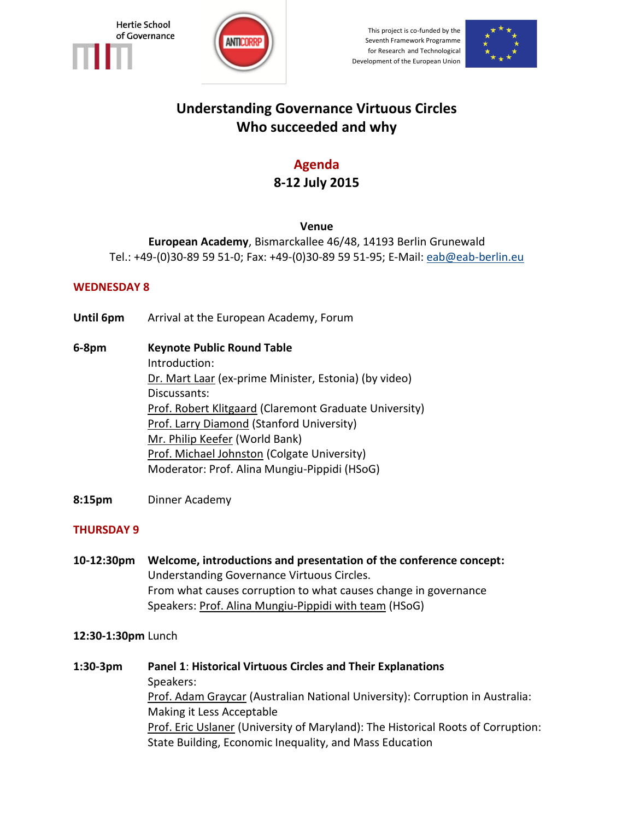



This project is co-funded by the Seventh Framework Programme for Research and Technological Development of the European Union



# **Understanding Governance Virtuous Circles Who succeeded and why**

# **Agenda 8-12 July 2015**

## **Venue**

**European Academy**, Bismarckallee 46/48, 14193 Berlin Grunewald Tel.: +49-(0)30-89 59 51-0; Fax: +49-(0)30-89 59 51-95; E-Mail: [eab@eab-berlin.eu](javascript:linkTo_UnCryptMailto()

## **WEDNESDAY 8**

- **Until 6pm** Arrival at the European Academy, Forum
- **6-8pm Keynote Public Round Table** Introduction: Dr. Mart Laar (ex-prime Minister, Estonia) (by video) Discussants: Prof. Robert Klitgaard (Claremont Graduate University) **Prof. Larry Diamond (Stanford University)** Mr. Philip Keefer (World Bank) Prof. Michael Johnston (Colgate University) Moderator: Prof. Alina Mungiu-Pippidi (HSoG)
- **8:15pm** Dinner Academy

## **THURSDAY 9**

**10-12:30pm Welcome, introductions and presentation of the conference concept:** Understanding Governance Virtuous Circles. From what causes corruption to what causes change in governance Speakers: Prof. Alina Mungiu-Pippidi with team (HSoG)

#### **12:30-1:30pm** Lunch

**1:30-3pm Panel 1**: **Historical Virtuous Circles and Their Explanations** Speakers: Prof. Adam Graycar (Australian National University): Corruption in Australia: Making it Less Acceptable **Prof. Eric Uslaner (University of Maryland): The Historical Roots of Corruption:** State Building, Economic Inequality, and Mass Education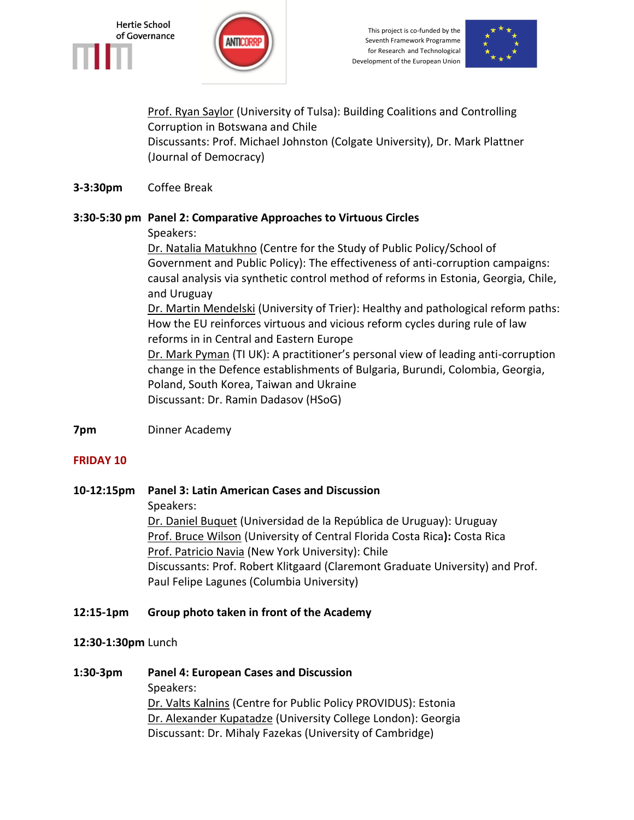

This project is co-funded by the Seventh Framework Programme for Research and Technological Development of the European Union



**Prof. Ryan Saylor (University of Tulsa): Building Coalitions and Controlling** Corruption in Botswana and Chile Discussants: Prof. Michael Johnston (Colgate University), Dr. Mark Plattner (Journal of Democracy)

### **3-3:30pm** Coffee Break

#### **3:30-5:30 pm Panel 2: Comparative Approaches to Virtuous Circles**

Speakers:

Dr. Natalia Matukhno (Centre for the Study of Public Policy/School of Government and Public Policy): The effectiveness of anti-corruption campaigns: causal analysis via synthetic control method of reforms in Estonia, Georgia, Chile, and Uruguay Dr. Martin Mendelski (University of Trier): Healthy and pathological reform paths: How the EU reinforces virtuous and vicious reform cycles during rule of law reforms in in Central and Eastern Europe Dr. Mark Pyman (TI UK): A practitioner's personal view of leading anti-corruption change in the Defence establishments of Bulgaria, Burundi, Colombia, Georgia, Poland, South Korea, Taiwan and Ukraine

Discussant: Dr. Ramin Dadasov (HSoG)

**7pm** Dinner Academy

#### **FRIDAY 10**

**10-12:15pm Panel 3: Latin American Cases and Discussion** Speakers: Dr. Daniel Buquet (Universidad de la República de Uruguay): Uruguay Prof. Bruce Wilson (University of Central Florida Costa Rica**):** Costa Rica Prof. Patricio Navia (New York University): Chile Discussants: Prof. Robert Klitgaard (Claremont Graduate University) and Prof. Paul Felipe Lagunes (Columbia University)

#### **12:15-1pm Group photo taken in front of the Academy**

#### **12:30-1:30pm** Lunch

**1:30-3pm Panel 4: European Cases and Discussion** Speakers: Dr. Valts Kalnins (Centre for Public Policy PROVIDUS): Estonia Dr. Alexander Kupatadze (University College London): Georgia Discussant: Dr. Mihaly Fazekas (University of Cambridge)